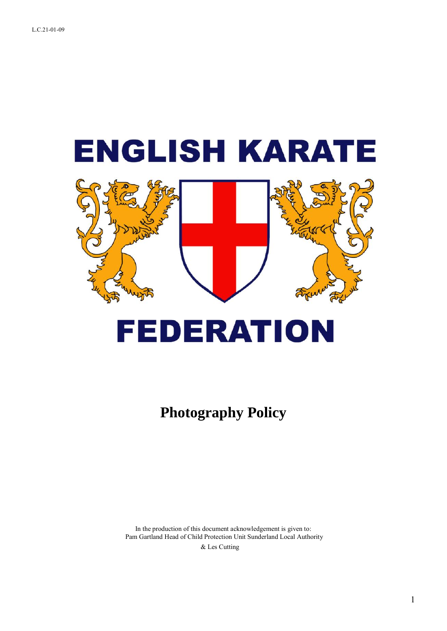



# **FEDERATION**

**Photography Policy**

In the production of this document acknowledgement is given to: Pam Gartland Head of Child Protection Unit Sunderland Local Authority

& Les Cutting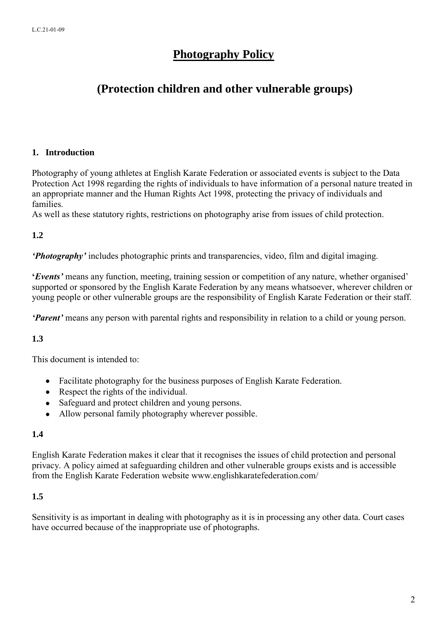# **Photography Policy**

# **(Protection children and other vulnerable groups)**

#### **1. Introduction**

Photography of young athletes at English Karate Federation or associated events is subject to the Data Protection Act 1998 regarding the rights of individuals to have information of a personal nature treated in an appropriate manner and the Human Rights Act 1998, protecting the privacy of individuals and families.

As well as these statutory rights, restrictions on photography arise from issues of child protection.

#### **1.2**

*'Photography'* includes photographic prints and transparencies, video, film and digital imaging.

**'***Events'* means any function, meeting, training session or competition of any nature, whether organised' supported or sponsored by the English Karate Federation by any means whatsoever, wherever children or young people or other vulnerable groups are the responsibility of English Karate Federation or their staff.

*'Parent'* means any person with parental rights and responsibility in relation to a child or young person.

#### **1.3**

This document is intended to:

- Facilitate photography for the business purposes of English Karate Federation.
- Respect the rights of the individual.
- Safeguard and protect children and young persons.
- Allow personal family photography wherever possible.

#### **1.4**

English Karate Federation makes it clear that it recognises the issues of child protection and personal privacy. A policy aimed at safeguarding children and other vulnerable groups exists and is accessible from the English Karate Federation website www.englishkaratefederation.com/

#### **1.5**

Sensitivity is as important in dealing with photography as it is in processing any other data. Court cases have occurred because of the inappropriate use of photographs.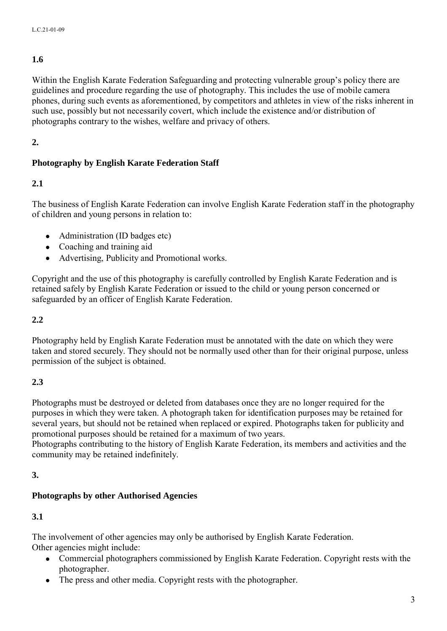# **1.6**

Within the English Karate Federation Safeguarding and protecting vulnerable group's policy there are guidelines and procedure regarding the use of photography. This includes the use of mobile camera phones, during such events as aforementioned, by competitors and athletes in view of the risks inherent in such use, possibly but not necessarily covert, which include the existence and/or distribution of photographs contrary to the wishes, welfare and privacy of others.

# **2.**

# **Photography by English Karate Federation Staff**

# **2.1**

The business of English Karate Federation can involve English Karate Federation staff in the photography of children and young persons in relation to:

- Administration (ID badges etc)
- Coaching and training aid
- Advertising, Publicity and Promotional works.

Copyright and the use of this photography is carefully controlled by English Karate Federation and is retained safely by English Karate Federation or issued to the child or young person concerned or safeguarded by an officer of English Karate Federation.

## **2.2**

Photography held by English Karate Federation must be annotated with the date on which they were taken and stored securely. They should not be normally used other than for their original purpose, unless permission of the subject is obtained.

# **2.3**

Photographs must be destroyed or deleted from databases once they are no longer required for the purposes in which they were taken. A photograph taken for identification purposes may be retained for several years, but should not be retained when replaced or expired. Photographs taken for publicity and promotional purposes should be retained for a maximum of two years.

Photographs contributing to the history of English Karate Federation, its members and activities and the community may be retained indefinitely.

# **3.**

# **Photographs by other Authorised Agencies**

# **3.1**

The involvement of other agencies may only be authorised by English Karate Federation. Other agencies might include:

- Commercial photographers commissioned by English Karate Federation. Copyright rests with the photographer.
- The press and other media. Copyright rests with the photographer.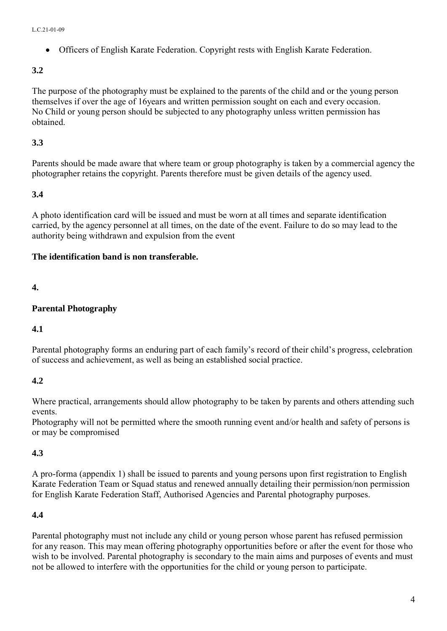Officers of English Karate Federation. Copyright rests with English Karate Federation.

# **3.2**

The purpose of the photography must be explained to the parents of the child and or the young person themselves if over the age of 16years and written permission sought on each and every occasion. No Child or young person should be subjected to any photography unless written permission has obtained.

## **3.3**

Parents should be made aware that where team or group photography is taken by a commercial agency the photographer retains the copyright. Parents therefore must be given details of the agency used.

## **3.4**

A photo identification card will be issued and must be worn at all times and separate identification carried, by the agency personnel at all times, on the date of the event. Failure to do so may lead to the authority being withdrawn and expulsion from the event

## **The identification band is non transferable.**

# **4.**

## **Parental Photography**

#### **4.1**

Parental photography forms an enduring part of each family's record of their child's progress, celebration of success and achievement, as well as being an established social practice.

# **4.2**

Where practical, arrangements should allow photography to be taken by parents and others attending such events.

Photography will not be permitted where the smooth running event and/or health and safety of persons is or may be compromised

# **4.3**

A pro-forma (appendix 1) shall be issued to parents and young persons upon first registration to English Karate Federation Team or Squad status and renewed annually detailing their permission/non permission for English Karate Federation Staff, Authorised Agencies and Parental photography purposes.

# **4.4**

Parental photography must not include any child or young person whose parent has refused permission for any reason. This may mean offering photography opportunities before or after the event for those who wish to be involved. Parental photography is secondary to the main aims and purposes of events and must not be allowed to interfere with the opportunities for the child or young person to participate.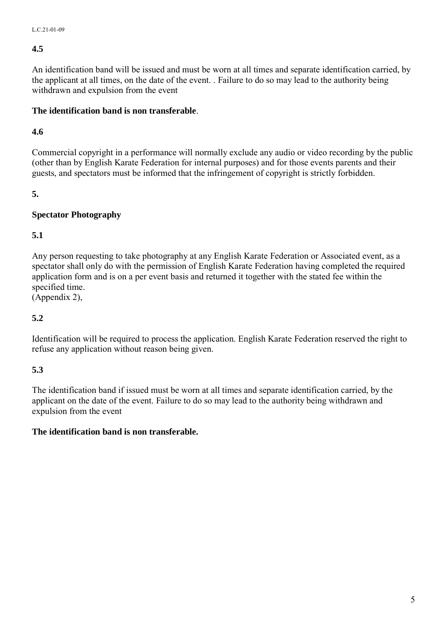#### **4.5**

An identification band will be issued and must be worn at all times and separate identification carried, by the applicant at all times, on the date of the event. . Failure to do so may lead to the authority being withdrawn and expulsion from the event

#### **The identification band is non transferable**.

#### **4.6**

Commercial copyright in a performance will normally exclude any audio or video recording by the public (other than by English Karate Federation for internal purposes) and for those events parents and their guests, and spectators must be informed that the infringement of copyright is strictly forbidden.

#### **5.**

## **Spectator Photography**

## **5.1**

Any person requesting to take photography at any English Karate Federation or Associated event, as a spectator shall only do with the permission of English Karate Federation having completed the required application form and is on a per event basis and returned it together with the stated fee within the specified time.

(Appendix 2),

#### **5.2**

Identification will be required to process the application. English Karate Federation reserved the right to refuse any application without reason being given.

#### **5.3**

The identification band if issued must be worn at all times and separate identification carried, by the applicant on the date of the event. Failure to do so may lead to the authority being withdrawn and expulsion from the event

#### **The identification band is non transferable.**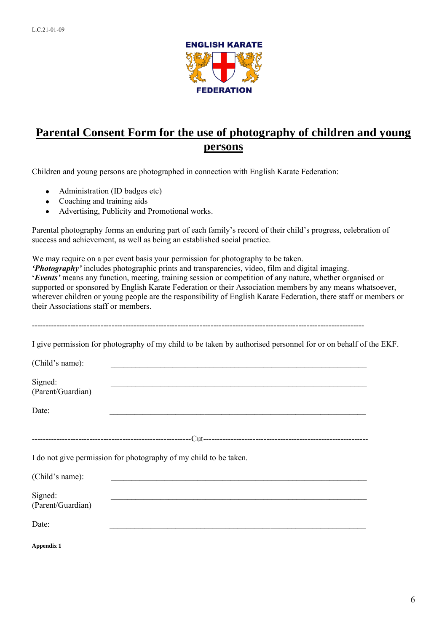

# **Parental Consent Form for the use of photography of children and young persons**

Children and young persons are photographed in connection with English Karate Federation:

- Administration (ID badges etc)
- Coaching and training aids
- Advertising, Publicity and Promotional works.  $\bullet$

Parental photography forms an enduring part of each family's record of their child's progress, celebration of success and achievement, as well as being an established social practice.

We may require on a per event basis your permission for photography to be taken.

*'Photography'* includes photographic prints and transparencies, video, film and digital imaging. **'***Events'* means any function, meeting, training session or competition of any nature, whether organised or supported or sponsored by English Karate Federation or their Association members by any means whatsoever, wherever children or young people are the responsibility of English Karate Federation, there staff or members or their Associations staff or members.

-------------------------------------------------------------------------------------------------------------------------

I give permission for photography of my child to be taken by authorised personnel for or on behalf of the EKF.

| (Child's name):              |                                                                   |
|------------------------------|-------------------------------------------------------------------|
| Signed:<br>(Parent/Guardian) |                                                                   |
| Date:                        |                                                                   |
|                              |                                                                   |
|                              | I do not give permission for photography of my child to be taken. |
| (Child's name):              |                                                                   |
| Signed:<br>(Parent/Guardian) |                                                                   |
| Date:                        |                                                                   |
| Appendix 1                   |                                                                   |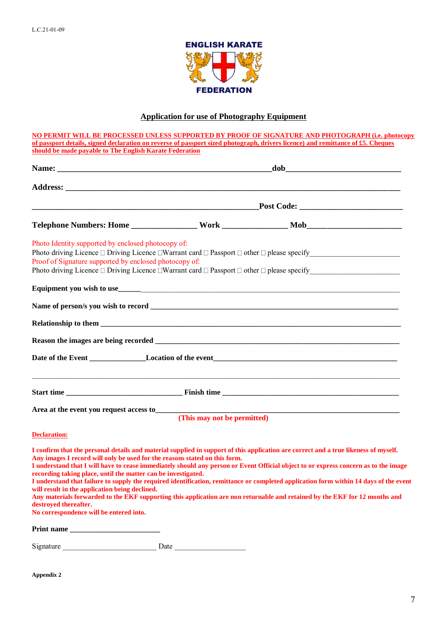

# **Application for use of Photography Equipment**

|                                                                            |      | NO PERMIT WILL BE PROCESSED UNLESS SUPPORTED BY PROOF OF SIGNATURE AND PHOTOGRAPH (i.e. photocopy                                     |
|----------------------------------------------------------------------------|------|---------------------------------------------------------------------------------------------------------------------------------------|
|                                                                            |      | of passport details, signed declaration on reverse of passport sized photograph, drivers licence) and remittance of £5. Cheques       |
| should be made payable to The English Karate Federation                    |      |                                                                                                                                       |
|                                                                            |      |                                                                                                                                       |
|                                                                            |      |                                                                                                                                       |
|                                                                            |      |                                                                                                                                       |
|                                                                            |      |                                                                                                                                       |
|                                                                            |      |                                                                                                                                       |
|                                                                            |      |                                                                                                                                       |
|                                                                            |      |                                                                                                                                       |
|                                                                            |      |                                                                                                                                       |
| Photo Identity supported by enclosed photocopy of:                         |      |                                                                                                                                       |
|                                                                            |      |                                                                                                                                       |
| Proof of Signature supported by enclosed photocopy of:                     |      |                                                                                                                                       |
|                                                                            |      |                                                                                                                                       |
|                                                                            |      |                                                                                                                                       |
|                                                                            |      |                                                                                                                                       |
|                                                                            |      |                                                                                                                                       |
|                                                                            |      |                                                                                                                                       |
|                                                                            |      |                                                                                                                                       |
|                                                                            |      |                                                                                                                                       |
|                                                                            |      |                                                                                                                                       |
|                                                                            |      |                                                                                                                                       |
|                                                                            |      |                                                                                                                                       |
|                                                                            |      |                                                                                                                                       |
|                                                                            |      |                                                                                                                                       |
|                                                                            |      |                                                                                                                                       |
|                                                                            |      |                                                                                                                                       |
|                                                                            |      |                                                                                                                                       |
|                                                                            |      |                                                                                                                                       |
|                                                                            |      | Area at the event you request access to<br>(This may not be permitted)                                                                |
|                                                                            |      |                                                                                                                                       |
| <b>Declaration:</b>                                                        |      |                                                                                                                                       |
|                                                                            |      |                                                                                                                                       |
|                                                                            |      | I confirm that the personal details and material supplied in support of this application are correct and a true likeness of myself.   |
| Any images I record will only be used for the reasons stated on this form. |      |                                                                                                                                       |
|                                                                            |      | I understand that I will have to cease immediately should any person or Event Official object to or express concern as to the image   |
| recording taking place, until the matter can be investigated.              |      |                                                                                                                                       |
|                                                                            |      | I understand that failure to supply the required identification, remittance or completed application form within 14 days of the event |
| will result in the application being declined.                             |      |                                                                                                                                       |
|                                                                            |      | Any materials forwarded to the EKF supporting this application are non returnable and retained by the EKF for 12 months and           |
| destroved thereafter.                                                      |      |                                                                                                                                       |
| No correspondence will be entered into.                                    |      |                                                                                                                                       |
|                                                                            |      |                                                                                                                                       |
| Print name                                                                 |      |                                                                                                                                       |
|                                                                            |      |                                                                                                                                       |
| Signature                                                                  | Date |                                                                                                                                       |

**Appendix 2**